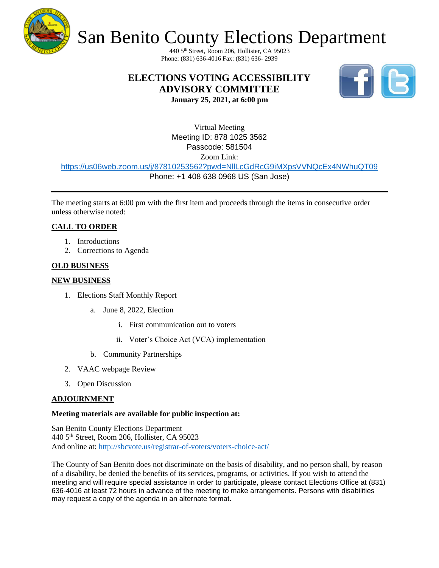

# San Benito County Elections Department

440 5th Street, Room 206, Hollister, CA 95023 Phone: (831) 636-4016 Fax: (831) 636- 2939

# **ELECTIONS VOTING ACCESSIBILITY ADVISORY COMMITTEE**



**January 25, 2021, at 6:00 pm**

Virtual Meeting Meeting ID: 878 1025 3562 Passcode: 581504 Zoom Link:

<https://us06web.zoom.us/j/87810253562?pwd=NllLcGdRcG9iMXpsVVNQcEx4NWhuQT09>

Phone: +1 408 638 0968 US (San Jose)

The meeting starts at 6:00 pm with the first item and proceeds through the items in consecutive order unless otherwise noted:

# **CALL TO ORDER**

- 1. Introductions
- 2. Corrections to Agenda

### **OLD BUSINESS**

### **NEW BUSINESS**

- 1. Elections Staff Monthly Report
	- a. June 8, 2022, Election
		- i. First communication out to voters
		- ii. Voter's Choice Act (VCA) implementation
	- b. Community Partnerships
- 2. VAAC webpage Review
- 3. Open Discussion

### **ADJOURNMENT**

### **Meeting materials are available for public inspection at:**

San Benito County Elections Department 440 5th Street, Room 206, Hollister, CA 95023 And online at:<http://sbcvote.us/registrar-of-voters/voters-choice-act/>

The County of San Benito does not discriminate on the basis of disability, and no person shall, by reason of a disability, be denied the benefits of its services, programs, or activities. If you wish to attend the meeting and will require special assistance in order to participate, please contact Elections Office at (831) 636-4016 at least 72 hours in advance of the meeting to make arrangements. Persons with disabilities may request a copy of the agenda in an alternate format.